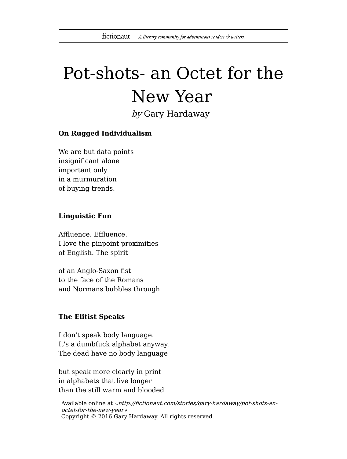# Pot-shots- an Octet for the New Year

by Gary Hardaway

# **On Rugged Individualism**

We are but data points insignificant alone important only in a murmuration of buying trends.

#### **Linguistic Fun**

Affluence. Effluence. I love the pinpoint proximities of English. The spirit

of an Anglo-Saxon fist to the face of the Romans and Normans bubbles through.

## **The Elitist Speaks**

I don't speak body language. It's a dumbfuck alphabet anyway. The dead have no body language

but speak more clearly in print in alphabets that live longer than the still warm and blooded

Available online at «http://fictionaut.com/stories/gary-hardaway/pot-shots-anoctet-for-the-new-year» Copyright © 2016 Gary Hardaway. All rights reserved.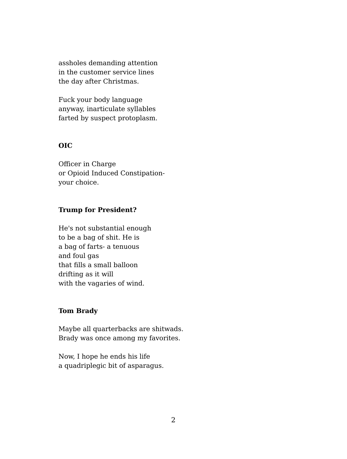assholes demanding attention in the customer service lines the day after Christmas.

Fuck your body language anyway, inarticulate syllables farted by suspect protoplasm.

# **OIC**

Officer in Charge or Opioid Induced Constipationyour choice.

# **Trump for President?**

He's not substantial enough to be a bag of shit. He is a bag of farts- a tenuous and foul gas that fills a small balloon drifting as it will with the vagaries of wind.

## **Tom Brady**

Maybe all quarterbacks are shitwads. Brady was once among my favorites.

Now, I hope he ends his life a quadriplegic bit of asparagus.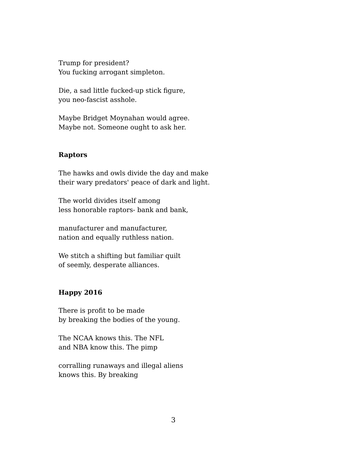Trump for president? You fucking arrogant simpleton.

Die, a sad little fucked-up stick figure, you neo-fascist asshole.

Maybe Bridget Moynahan would agree. Maybe not. Someone ought to ask her.

## **Raptors**

The hawks and owls divide the day and make their wary predators' peace of dark and light.

The world divides itself among less honorable raptors- bank and bank,

manufacturer and manufacturer, nation and equally ruthless nation.

We stitch a shifting but familiar quilt of seemly, desperate alliances.

# **Happy 2016**

There is profit to be made by breaking the bodies of the young.

The NCAA knows this. The NFL and NBA know this. The pimp

corralling runaways and illegal aliens knows this. By breaking